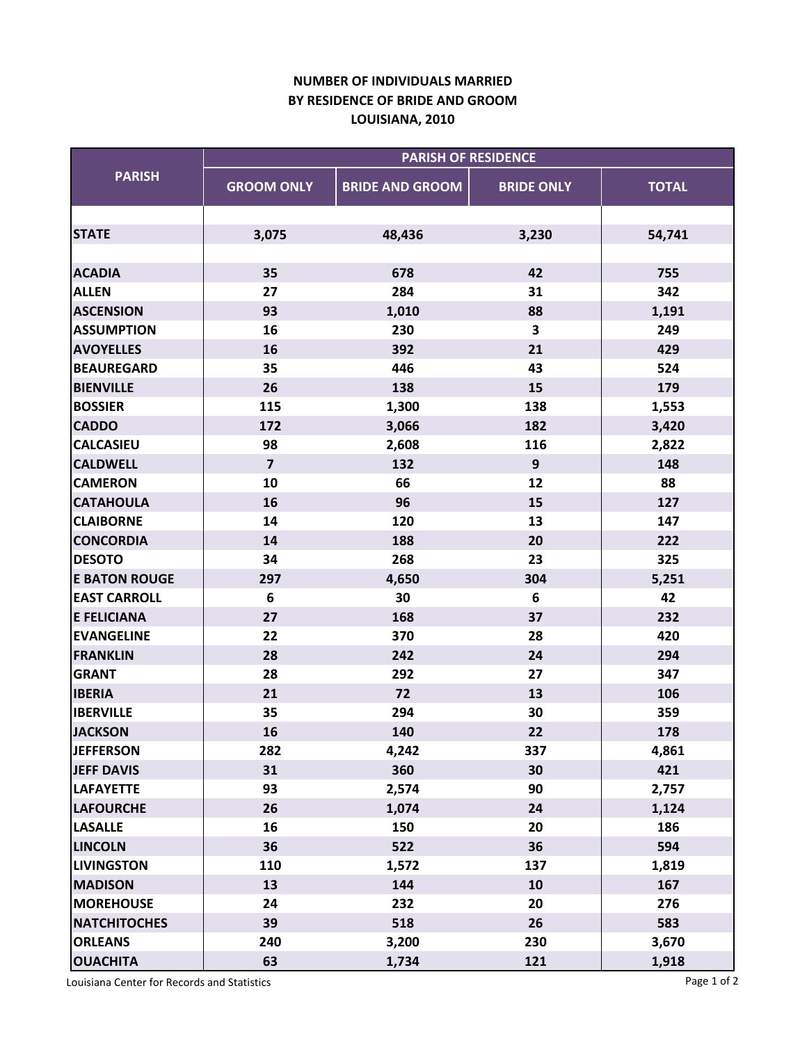## **NUMBER OF INDIVIDUALS MARRIED LOUISIANA, 2010 BY RESIDENCE OF BRIDE AND GROOM**

| <b>PARISH</b>        | <b>PARISH OF RESIDENCE</b> |                        |                   |              |  |
|----------------------|----------------------------|------------------------|-------------------|--------------|--|
|                      | <b>GROOM ONLY</b>          | <b>BRIDE AND GROOM</b> | <b>BRIDE ONLY</b> | <b>TOTAL</b> |  |
|                      |                            |                        |                   |              |  |
| <b>STATE</b>         | 3,075                      | 48,436                 | 3,230             | 54,741       |  |
| <b>ACADIA</b>        | 35                         | 678                    | 42                | 755          |  |
| <b>ALLEN</b>         | 27                         | 284                    | 31                | 342          |  |
| <b>ASCENSION</b>     | 93                         | 1,010                  | 88                | 1,191        |  |
| <b>ASSUMPTION</b>    | 16                         | 230                    | 3                 | 249          |  |
| <b>AVOYELLES</b>     | 16                         | 392                    | 21                | 429          |  |
| <b>BEAUREGARD</b>    | 35                         | 446                    | 43                | 524          |  |
| <b>BIENVILLE</b>     | 26                         | 138                    | 15                | 179          |  |
| <b>BOSSIER</b>       | 115                        | 1,300                  | 138               | 1,553        |  |
| <b>CADDO</b>         | 172                        | 3,066                  | 182               | 3,420        |  |
| <b>CALCASIEU</b>     | 98                         | 2,608                  | 116               | 2,822        |  |
| <b>CALDWELL</b>      | $\overline{\mathbf{z}}$    | 132                    | $\mathbf{9}$      | 148          |  |
| <b>CAMERON</b>       | 10                         | 66                     | 12                | 88           |  |
| <b>CATAHOULA</b>     | 16                         | 96                     | 15                | 127          |  |
| <b>CLAIBORNE</b>     | 14                         | 120                    | 13                | 147          |  |
| <b>CONCORDIA</b>     | 14                         | 188                    | 20                | 222          |  |
| <b>DESOTO</b>        | 34                         | 268                    | 23                | 325          |  |
| <b>E BATON ROUGE</b> | 297                        | 4,650                  | 304               | 5,251        |  |
| <b>EAST CARROLL</b>  | 6                          | 30                     | 6                 | 42           |  |
| <b>E FELICIANA</b>   | 27                         | 168                    | 37                | 232          |  |
| <b>EVANGELINE</b>    | 22                         | 370                    | 28                | 420          |  |
| <b>FRANKLIN</b>      | 28                         | 242                    | 24                | 294          |  |
| <b>GRANT</b>         | 28                         | 292                    | 27                | 347          |  |
| <b>IBERIA</b>        | 21                         | 72                     | 13                | 106          |  |
| <b>IBERVILLE</b>     | 35                         | 294                    | 30                | 359          |  |
| <b>JACKSON</b>       | 16                         | 140                    | 22                | 178          |  |
| <b>JEFFERSON</b>     | 282                        | 4,242                  | 337               | 4,861        |  |
| <b>JEFF DAVIS</b>    | 31                         | 360                    | 30                | 421          |  |
| <b>LAFAYETTE</b>     | 93                         | 2,574                  | 90                | 2,757        |  |
| <b>LAFOURCHE</b>     | 26                         | 1,074                  | 24                | 1,124        |  |
| <b>LASALLE</b>       | 16                         | 150                    | 20                | 186          |  |
| <b>LINCOLN</b>       | 36                         | 522                    | 36                | 594          |  |
| <b>LIVINGSTON</b>    | 110                        | 1,572                  | 137               | 1,819        |  |
| <b>MADISON</b>       | 13                         | 144                    | 10                | 167          |  |
| <b>MOREHOUSE</b>     | 24                         | 232                    | 20                | 276          |  |
| <b>NATCHITOCHES</b>  | 39                         | 518                    | 26                | 583          |  |
| <b>ORLEANS</b>       | 240                        | 3,200                  | 230               | 3,670        |  |
| <b>OUACHITA</b>      | 63                         | 1,734                  | 121               | 1,918        |  |